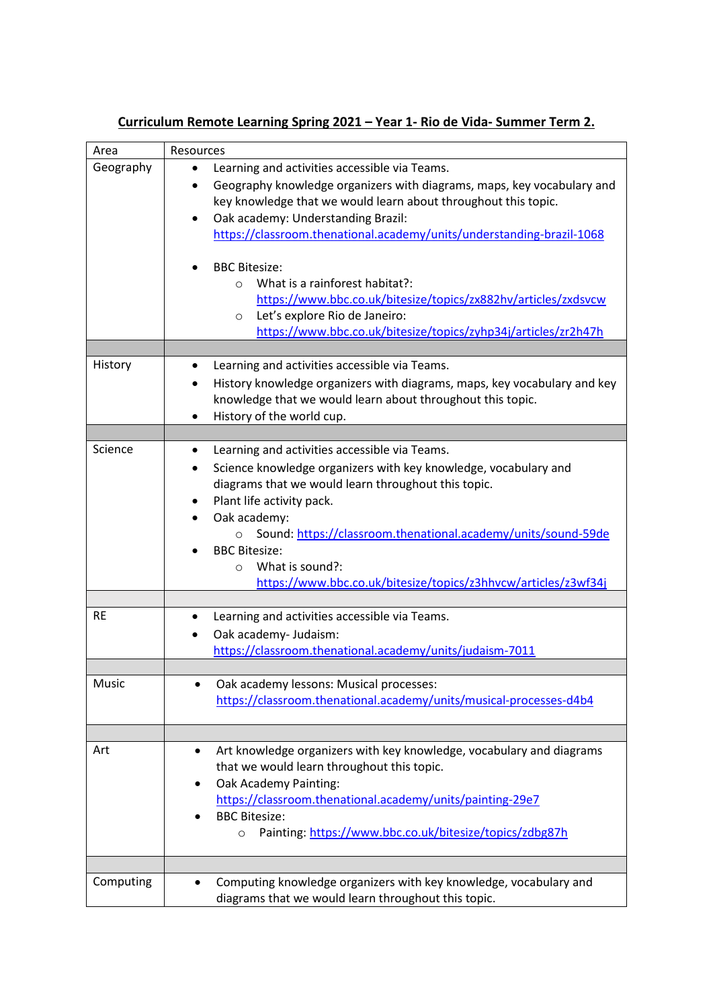| Area      | Resources                                                                                                                                                                                                                                                                                                                                                                                                                                                                                                                      |
|-----------|--------------------------------------------------------------------------------------------------------------------------------------------------------------------------------------------------------------------------------------------------------------------------------------------------------------------------------------------------------------------------------------------------------------------------------------------------------------------------------------------------------------------------------|
| Geography | Learning and activities accessible via Teams.<br>$\bullet$                                                                                                                                                                                                                                                                                                                                                                                                                                                                     |
|           | Geography knowledge organizers with diagrams, maps, key vocabulary and<br>٠<br>key knowledge that we would learn about throughout this topic.<br>Oak academy: Understanding Brazil:<br>$\bullet$<br>https://classroom.thenational.academy/units/understanding-brazil-1068<br><b>BBC Bitesize:</b><br>What is a rainforest habitat?:<br>$\circ$<br>https://www.bbc.co.uk/bitesize/topics/zx882hv/articles/zxdsvcw<br>Let's explore Rio de Janeiro:<br>$\circ$<br>https://www.bbc.co.uk/bitesize/topics/zyhp34j/articles/zr2h47h |
|           |                                                                                                                                                                                                                                                                                                                                                                                                                                                                                                                                |
| History   | Learning and activities accessible via Teams.<br>٠<br>History knowledge organizers with diagrams, maps, key vocabulary and key<br>knowledge that we would learn about throughout this topic.<br>History of the world cup.<br>$\bullet$                                                                                                                                                                                                                                                                                         |
| Science   |                                                                                                                                                                                                                                                                                                                                                                                                                                                                                                                                |
|           | Learning and activities accessible via Teams.<br>٠<br>Science knowledge organizers with key knowledge, vocabulary and<br>٠<br>diagrams that we would learn throughout this topic.<br>Plant life activity pack.<br>Oak academy:<br>Sound: https://classroom.thenational.academy/units/sound-59de<br>$\circ$<br><b>BBC Bitesize:</b><br>What is sound?:<br>$\Omega$<br>https://www.bbc.co.uk/bitesize/topics/z3hhvcw/articles/z3wf34j                                                                                            |
| <b>RE</b> | Learning and activities accessible via Teams.                                                                                                                                                                                                                                                                                                                                                                                                                                                                                  |
|           | Oak academy- Judaism:<br>https://classroom.thenational.academy/units/judaism-7011                                                                                                                                                                                                                                                                                                                                                                                                                                              |
| Music     |                                                                                                                                                                                                                                                                                                                                                                                                                                                                                                                                |
|           | Oak academy lessons: Musical processes:<br>https://classroom.thenational.academy/units/musical-processes-d4b4                                                                                                                                                                                                                                                                                                                                                                                                                  |
|           |                                                                                                                                                                                                                                                                                                                                                                                                                                                                                                                                |
| Art       | Art knowledge organizers with key knowledge, vocabulary and diagrams<br>٠<br>that we would learn throughout this topic.<br>Oak Academy Painting:<br>https://classroom.thenational.academy/units/painting-29e7<br><b>BBC Bitesize:</b><br>Painting: https://www.bbc.co.uk/bitesize/topics/zdbg87h<br>$\circ$                                                                                                                                                                                                                    |
|           |                                                                                                                                                                                                                                                                                                                                                                                                                                                                                                                                |
| Computing | Computing knowledge organizers with key knowledge, vocabulary and<br>diagrams that we would learn throughout this topic.                                                                                                                                                                                                                                                                                                                                                                                                       |

## **Curriculum Remote Learning Spring 2021 – Year 1- Rio de Vida- Summer Term 2.**